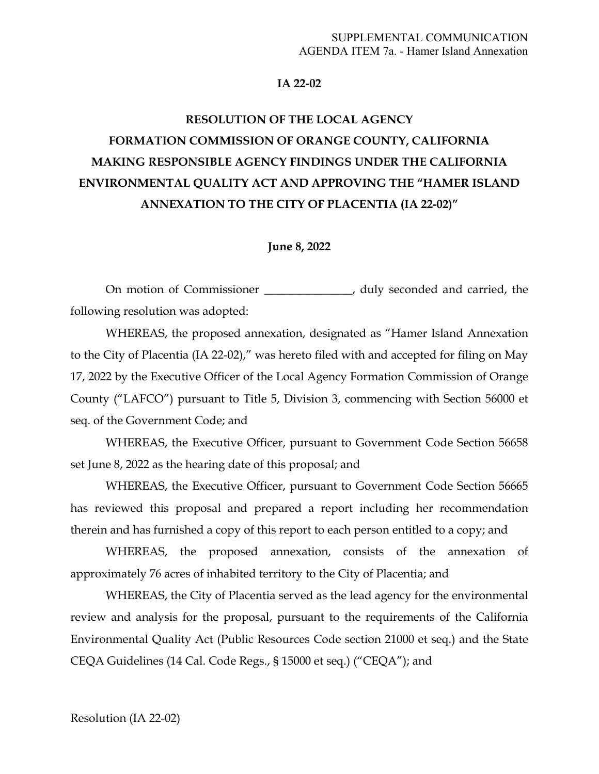#### **IA 22-02**

# **RESOLUTION OF THE LOCAL AGENCY FORMATION COMMISSION OF ORANGE COUNTY, CALIFORNIA MAKING RESPONSIBLE AGENCY FINDINGS UNDER THE CALIFORNIA ENVIRONMENTAL QUALITY ACT AND APPROVING THE "HAMER ISLAND ANNEXATION TO THE CITY OF PLACENTIA (IA 22-02)"**

#### **June 8, 2022**

On motion of Commissioner \_\_\_\_\_\_\_\_\_\_\_\_\_\_, duly seconded and carried, the following resolution was adopted:

WHEREAS, the proposed annexation, designated as "Hamer Island Annexation to the City of Placentia (IA 22-02)," was hereto filed with and accepted for filing on May 17, 2022 by the Executive Officer of the Local Agency Formation Commission of Orange County ("LAFCO") pursuant to Title 5, Division 3, commencing with Section 56000 et seq. of the Government Code; and

WHEREAS, the Executive Officer, pursuant to Government Code Section 56658 set June 8, 2022 as the hearing date of this proposal; and

WHEREAS, the Executive Officer, pursuant to Government Code Section 56665 has reviewed this proposal and prepared a report including her recommendation therein and has furnished a copy of this report to each person entitled to a copy; and

WHEREAS, the proposed annexation, consists of the annexation of approximately 76 acres of inhabited territory to the City of Placentia; and

WHEREAS, the City of Placentia served as the lead agency for the environmental review and analysis for the proposal, pursuant to the requirements of the California Environmental Quality Act (Public Resources Code section 21000 et seq.) and the State CEQA Guidelines (14 Cal. Code Regs., § 15000 et seq.) ("CEQA"); and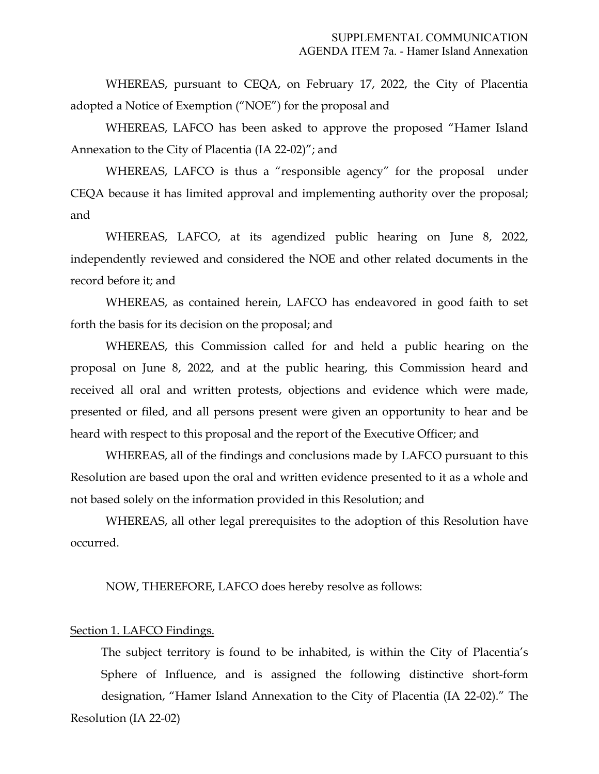WHEREAS, pursuant to CEQA, on February 17, 2022, the City of Placentia adopted a Notice of Exemption ("NOE") for the proposal and

WHEREAS, LAFCO has been asked to approve the proposed "Hamer Island Annexation to the City of Placentia (IA 22-02)"; and

WHEREAS, LAFCO is thus a "responsible agency" for the proposal under CEQA because it has limited approval and implementing authority over the proposal; and

WHEREAS, LAFCO, at its agendized public hearing on June 8, 2022, independently reviewed and considered the NOE and other related documents in the record before it; and

WHEREAS, as contained herein, LAFCO has endeavored in good faith to set forth the basis for its decision on the proposal; and

WHEREAS, this Commission called for and held a public hearing on the proposal on June 8, 2022, and at the public hearing, this Commission heard and received all oral and written protests, objections and evidence which were made, presented or filed, and all persons present were given an opportunity to hear and be heard with respect to this proposal and the report of the Executive Officer; and

WHEREAS, all of the findings and conclusions made by LAFCO pursuant to this Resolution are based upon the oral and written evidence presented to it as a whole and not based solely on the information provided in this Resolution; and

WHEREAS, all other legal prerequisites to the adoption of this Resolution have occurred.

NOW, THEREFORE, LAFCO does hereby resolve as follows:

#### Section 1. LAFCO Findings.

Resolution (IA 22-02) The subject territory is found to be inhabited, is within the City of Placentia's Sphere of Influence, and is assigned the following distinctive short-form designation, "Hamer Island Annexation to the City of Placentia (IA 22-02)." The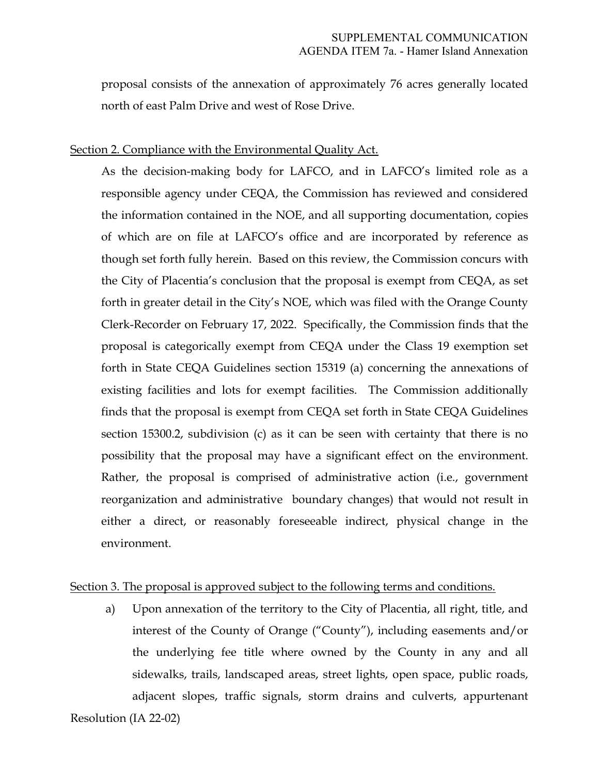proposal consists of the annexation of approximately 76 acres generally located north of east Palm Drive and west of Rose Drive.

#### Section 2. Compliance with the Environmental Quality Act.

As the decision-making body for LAFCO, and in LAFCO's limited role as a responsible agency under CEQA, the Commission has reviewed and considered the information contained in the NOE, and all supporting documentation, copies of which are on file at LAFCO's office and are incorporated by reference as though set forth fully herein. Based on this review, the Commission concurs with the City of Placentia's conclusion that the proposal is exempt from CEQA, as set forth in greater detail in the City's NOE, which was filed with the Orange County Clerk-Recorder on February 17, 2022. Specifically, the Commission finds that the proposal is categorically exempt from CEQA under the Class 19 exemption set forth in State CEQA Guidelines section 15319 (a) concerning the annexations of existing facilities and lots for exempt facilities. The Commission additionally finds that the proposal is exempt from CEQA set forth in State CEQA Guidelines section 15300.2, subdivision (c) as it can be seen with certainty that there is no possibility that the proposal may have a significant effect on the environment. Rather, the proposal is comprised of administrative action (i.e., government reorganization and administrative boundary changes) that would not result in either a direct, or reasonably foreseeable indirect, physical change in the environment.

## Section 3. The proposal is approved subject to the following terms and conditions.

Resolution (IA 22-02) a) Upon annexation of the territory to the City of Placentia, all right, title, and interest of the County of Orange ("County"), including easements and/or the underlying fee title where owned by the County in any and all sidewalks, trails, landscaped areas, street lights, open space, public roads, adjacent slopes, traffic signals, storm drains and culverts, appurtenant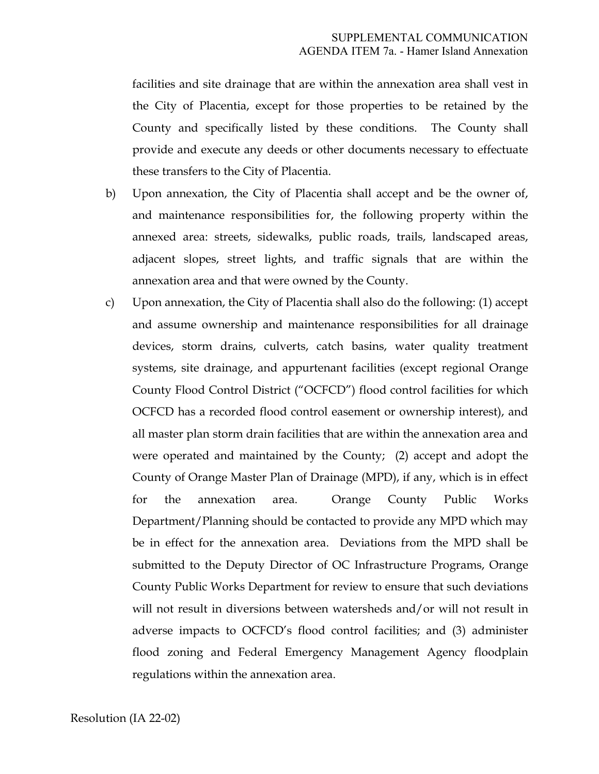facilities and site drainage that are within the annexation area shall vest in the City of Placentia, except for those properties to be retained by the County and specifically listed by these conditions. The County shall provide and execute any deeds or other documents necessary to effectuate these transfers to the City of Placentia.

- b) Upon annexation, the City of Placentia shall accept and be the owner of, and maintenance responsibilities for, the following property within the annexed area: streets, sidewalks, public roads, trails, landscaped areas, adjacent slopes, street lights, and traffic signals that are within the annexation area and that were owned by the County.
- c) Upon annexation, the City of Placentia shall also do the following: (1) accept and assume ownership and maintenance responsibilities for all drainage devices, storm drains, culverts, catch basins, water quality treatment systems, site drainage, and appurtenant facilities (except regional Orange County Flood Control District ("OCFCD") flood control facilities for which OCFCD has a recorded flood control easement or ownership interest), and all master plan storm drain facilities that are within the annexation area and were operated and maintained by the County; (2) accept and adopt the County of Orange Master Plan of Drainage (MPD), if any, which is in effect for the annexation area. Orange County Public Works Department/Planning should be contacted to provide any MPD which may be in effect for the annexation area. Deviations from the MPD shall be submitted to the Deputy Director of OC Infrastructure Programs, Orange County Public Works Department for review to ensure that such deviations will not result in diversions between watersheds and/or will not result in adverse impacts to OCFCD's flood control facilities; and (3) administer flood zoning and Federal Emergency Management Agency floodplain regulations within the annexation area.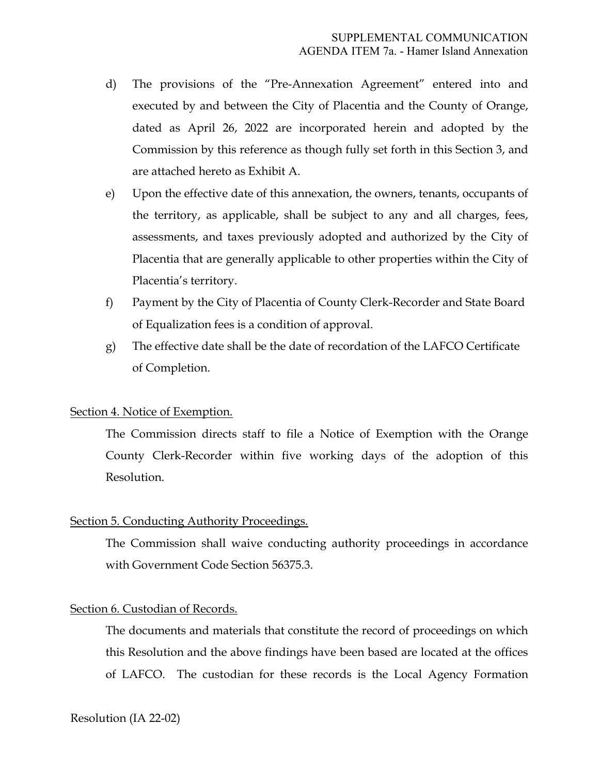- d) The provisions of the "Pre-Annexation Agreement" entered into and executed by and between the City of Placentia and the County of Orange, dated as April 26, 2022 are incorporated herein and adopted by the Commission by this reference as though fully set forth in this Section 3, and are attached hereto as Exhibit A.
- e) Upon the effective date of this annexation, the owners, tenants, occupants of the territory, as applicable, shall be subject to any and all charges, fees, assessments, and taxes previously adopted and authorized by the City of Placentia that are generally applicable to other properties within the City of Placentia's territory.
- f) Payment by the City of Placentia of County Clerk-Recorder and State Board of Equalization fees is a condition of approval.
- g) The effective date shall be the date of recordation of the LAFCO Certificate of Completion.

## Section 4. Notice of Exemption.

The Commission directs staff to file a Notice of Exemption with the Orange County Clerk-Recorder within five working days of the adoption of this Resolution.

## Section 5. Conducting Authority Proceedings.

The Commission shall waive conducting authority proceedings in accordance with Government Code Section 56375.3.

#### Section 6. Custodian of Records.

The documents and materials that constitute the record of proceedings on which this Resolution and the above findings have been based are located at the offices of LAFCO. The custodian for these records is the Local Agency Formation